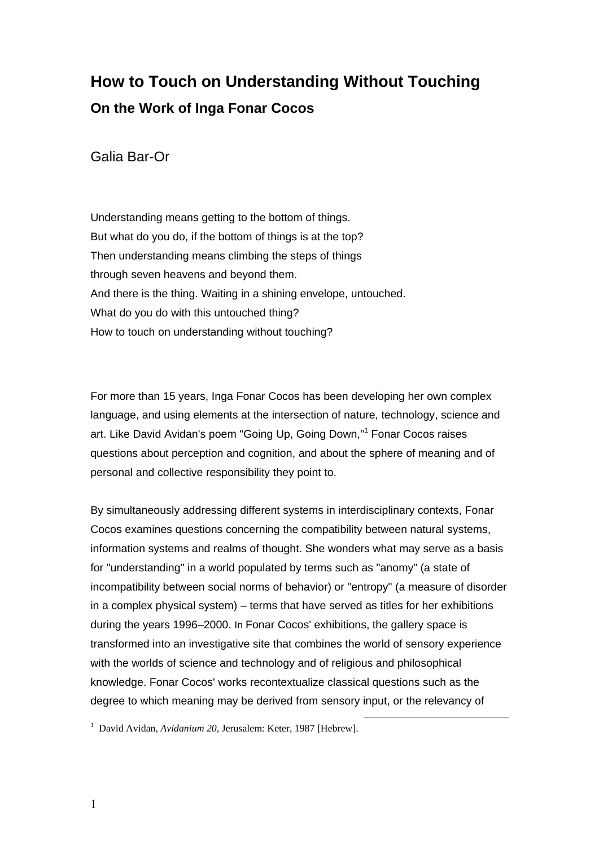## **How to Touch on Understanding Without Touching On the Work of Inga Fonar Cocos**

Galia Bar-Or

Understanding means getting to the bottom of things. But what do you do, if the bottom of things is at the top? Then understanding means climbing the steps of things through seven heavens and beyond them. And there is the thing. Waiting in a shining envelope, untouched. What do you do with this untouched thing? How to touch on understanding without touching?

For more than 15 years, Inga Fonar Cocos has been developing her own complex language, and using elements at the intersection of nature, technology, science and art. Like David Avidan's poem "Going Up, Going Down," <sup>1</sup> Fonar Cocos raises questions about perception and cognition, and about the sphere of meaning and of personal and collective responsibility they point to.

By simultaneously addressing different systems in interdisciplinary contexts, Fonar Cocos examines questions concerning the compatibility between natural systems, information systems and realms of thought. She wonders what may serve as a basis for "understanding" in a world populated by terms such as "anomy" (a state of incompatibility between social norms of behavior) or "entropy" (a measure of disorder in a complex physical system) – terms that have served as titles for her exhibitions during the years 1996–2000. In Fonar Cocos' exhibitions, the gallery space is transformed into an investigative site that combines the world of sensory experience with the worlds of science and technology and of religious and philosophical knowledge. Fonar Cocos' works recontextualize classical questions such as the degree to which meaning may be derived from sensory input, or the relevancy of

<u>.</u>

<sup>1</sup> David Avidan, *Avidanium 20*, Jerusalem: Keter, 1987 [Hebrew].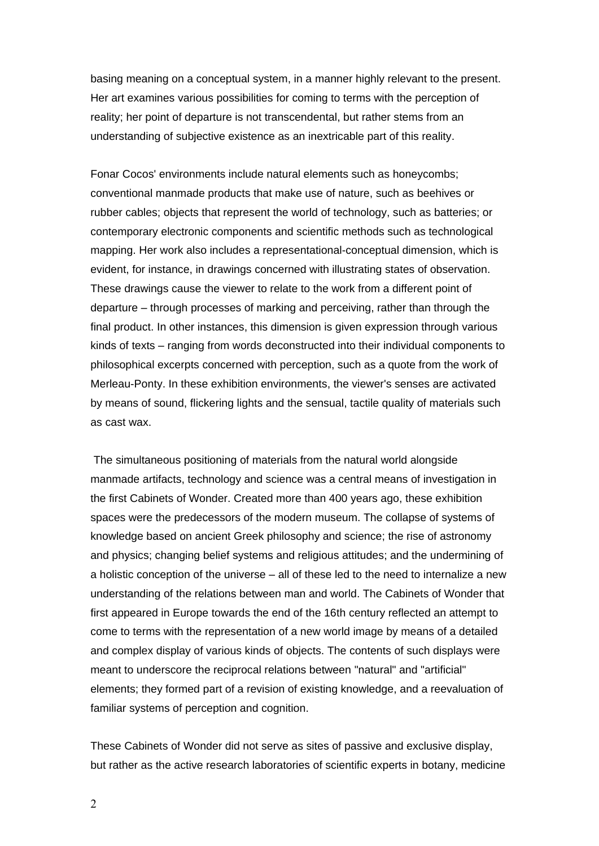basing meaning on a conceptual system, in a manner highly relevant to the present. Her art examines various possibilities for coming to terms with the perception of reality; her point of departure is not transcendental, but rather stems from an understanding of subjective existence as an inextricable part of this reality.

Fonar Cocos' environments include natural elements such as honeycombs; conventional manmade products that make use of nature, such as beehives or rubber cables; objects that represent the world of technology, such as batteries; or contemporary electronic components and scientific methods such as technological mapping. Her work also includes a representational-conceptual dimension, which is evident, for instance, in drawings concerned with illustrating states of observation. These drawings cause the viewer to relate to the work from a different point of departure – through processes of marking and perceiving, rather than through the final product. In other instances, this dimension is given expression through various kinds of texts – ranging from words deconstructed into their individual components to philosophical excerpts concerned with perception, such as a quote from the work of Merleau-Ponty. In these exhibition environments, the viewer's senses are activated by means of sound, flickering lights and the sensual, tactile quality of materials such as cast wax.

The simultaneous positioning of materials from the natural world alongside manmade artifacts, technology and science was a central means of investigation in the first Cabinets of Wonder. Created more than 400 years ago, these exhibition spaces were the predecessors of the modern museum. The collapse of systems of knowledge based on ancient Greek philosophy and science; the rise of astronomy and physics; changing belief systems and religious attitudes; and the undermining of a holistic conception of the universe – all of these led to the need to internalize a new understanding of the relations between man and world. The Cabinets of Wonder that first appeared in Europe towards the end of the 16th century reflected an attempt to come to terms with the representation of a new world image by means of a detailed and complex display of various kinds of objects. The contents of such displays were meant to underscore the reciprocal relations between "natural" and "artificial" elements; they formed part of a revision of existing knowledge, and a reevaluation of familiar systems of perception and cognition.

These Cabinets of Wonder did not serve as sites of passive and exclusive display, but rather as the active research laboratories of scientific experts in botany, medicine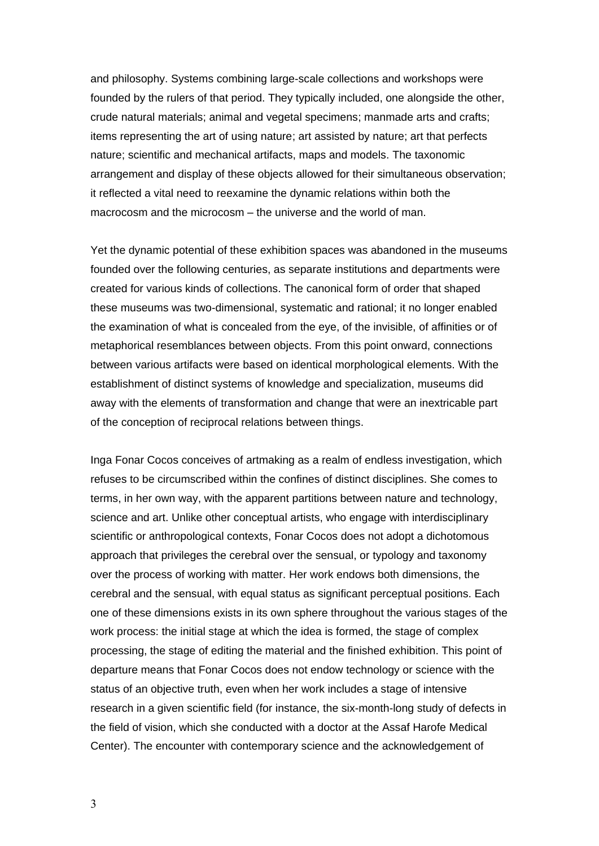and philosophy. Systems combining large-scale collections and workshops were founded by the rulers of that period. They typically included, one alongside the other, crude natural materials; animal and vegetal specimens; manmade arts and crafts; items representing the art of using nature; art assisted by nature; art that perfects nature; scientific and mechanical artifacts, maps and models. The taxonomic arrangement and display of these objects allowed for their simultaneous observation; it reflected a vital need to reexamine the dynamic relations within both the macrocosm and the microcosm – the universe and the world of man.

Yet the dynamic potential of these exhibition spaces was abandoned in the museums founded over the following centuries, as separate institutions and departments were created for various kinds of collections. The canonical form of order that shaped these museums was two-dimensional, systematic and rational; it no longer enabled the examination of what is concealed from the eye, of the invisible, of affinities or of metaphorical resemblances between objects. From this point onward, connections between various artifacts were based on identical morphological elements. With the establishment of distinct systems of knowledge and specialization, museums did away with the elements of transformation and change that were an inextricable part of the conception of reciprocal relations between things.

Inga Fonar Cocos conceives of artmaking as a realm of endless investigation, which refuses to be circumscribed within the confines of distinct disciplines. She comes to terms, in her own way, with the apparent partitions between nature and technology, science and art. Unlike other conceptual artists, who engage with interdisciplinary scientific or anthropological contexts, Fonar Cocos does not adopt a dichotomous approach that privileges the cerebral over the sensual, or typology and taxonomy over the process of working with matter. Her work endows both dimensions, the cerebral and the sensual, with equal status as significant perceptual positions. Each one of these dimensions exists in its own sphere throughout the various stages of the work process: the initial stage at which the idea is formed, the stage of complex processing, the stage of editing the material and the finished exhibition. This point of departure means that Fonar Cocos does not endow technology or science with the status of an objective truth, even when her work includes a stage of intensive research in a given scientific field (for instance, the six-month-long study of defects in the field of vision, which she conducted with a doctor at the Assaf Harofe Medical Center). The encounter with contemporary science and the acknowledgement of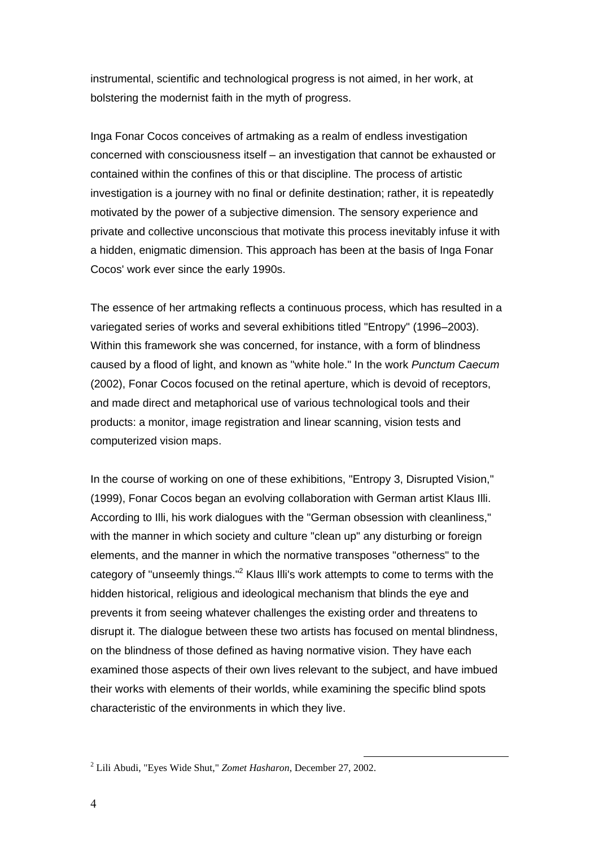instrumental, scientific and technological progress is not aimed, in her work, at bolstering the modernist faith in the myth of progress.

Inga Fonar Cocos conceives of artmaking as a realm of endless investigation concerned with consciousness itself – an investigation that cannot be exhausted or contained within the confines of this or that discipline. The process of artistic investigation is a journey with no final or definite destination; rather, it is repeatedly motivated by the power of a subjective dimension. The sensory experience and private and collective unconscious that motivate this process inevitably infuse it with a hidden, enigmatic dimension. This approach has been at the basis of Inga Fonar Cocos' work ever since the early 1990s.

The essence of her artmaking reflects a continuous process, which has resulted in a variegated series of works and several exhibitions titled "Entropy" (1996–2003). Within this framework she was concerned, for instance, with a form of blindness caused by a flood of light, and known as "white hole." In the work *Punctum Caecum* (2002), Fonar Cocos focused on the retinal aperture, which is devoid of receptors, and made direct and metaphorical use of various technological tools and their products: a monitor, image registration and linear scanning, vision tests and computerized vision maps.

In the course of working on one of these exhibitions, "Entropy 3, Disrupted Vision," (1999), Fonar Cocos began an evolving collaboration with German artist Klaus Illi. According to Illi, his work dialogues with the "German obsession with cleanliness," with the manner in which society and culture "clean up" any disturbing or foreign elements, and the manner in which the normative transposes "otherness" to the category of "unseemly things."<sup>2</sup> Klaus Illi's work attempts to come to terms with the hidden historical, religious and ideological mechanism that blinds the eye and prevents it from seeing whatever challenges the existing order and threatens to disrupt it. The dialogue between these two artists has focused on mental blindness, on the blindness of those defined as having normative vision. They have each examined those aspects of their own lives relevant to the subject, and have imbued their works with elements of their worlds, while examining the specific blind spots characteristic of the environments in which they live.

<u>.</u>

<sup>2</sup> Lili Abudi, "Eyes Wide Shut," *Zomet Hasharon*, December 27, 2002.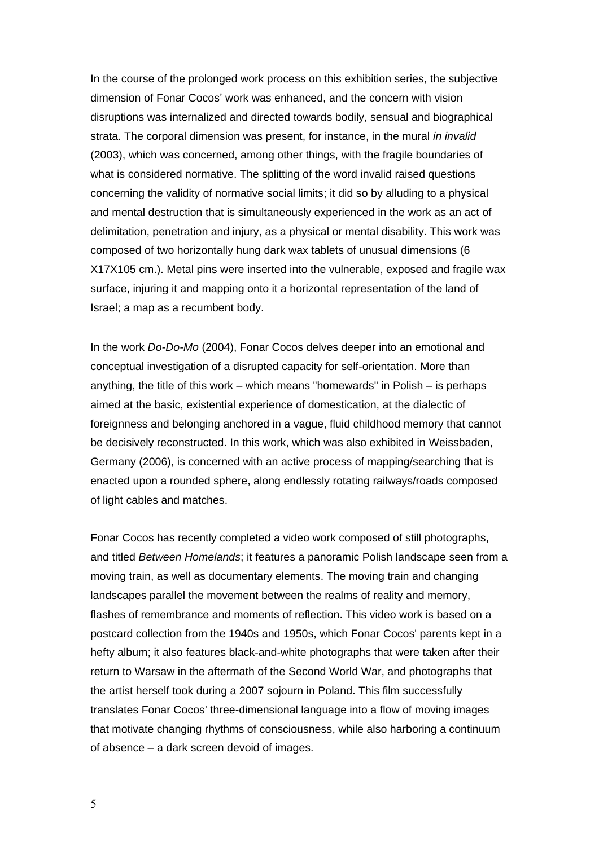In the course of the prolonged work process on this exhibition series, the subjective dimension of Fonar Cocos' work was enhanced, and the concern with vision disruptions was internalized and directed towards bodily, sensual and biographical strata. The corporal dimension was present, for instance, in the mural *in invalid* (2003), which was concerned, among other things, with the fragile boundaries of what is considered normative. The splitting of the word invalid raised questions concerning the validity of normative social limits; it did so by alluding to a physical and mental destruction that is simultaneously experienced in the work as an act of delimitation, penetration and injury, as a physical or mental disability. This work was composed of two horizontally hung dark wax tablets of unusual dimensions (6 X17X105 cm.). Metal pins were inserted into the vulnerable, exposed and fragile wax surface, injuring it and mapping onto it a horizontal representation of the land of Israel; a map as a recumbent body.

In the work *Do-Do-Mo* (2004), Fonar Cocos delves deeper into an emotional and conceptual investigation of a disrupted capacity for self-orientation. More than anything, the title of this work – which means "homewards" in Polish – is perhaps aimed at the basic, existential experience of domestication, at the dialectic of foreignness and belonging anchored in a vague, fluid childhood memory that cannot be decisively reconstructed. In this work, which was also exhibited in Weissbaden, Germany (2006), is concerned with an active process of mapping/searching that is enacted upon a rounded sphere, along endlessly rotating railways/roads composed of light cables and matches.

Fonar Cocos has recently completed a video work composed of still photographs, and titled *Between Homelands*; it features a panoramic Polish landscape seen from a moving train, as well as documentary elements. The moving train and changing landscapes parallel the movement between the realms of reality and memory, flashes of remembrance and moments of reflection. This video work is based on a postcard collection from the 1940s and 1950s, which Fonar Cocos' parents kept in a hefty album; it also features black-and-white photographs that were taken after their return to Warsaw in the aftermath of the Second World War, and photographs that the artist herself took during a 2007 sojourn in Poland. This film successfully translates Fonar Cocos' three-dimensional language into a flow of moving images that motivate changing rhythms of consciousness, while also harboring a continuum of absence – a dark screen devoid of images.